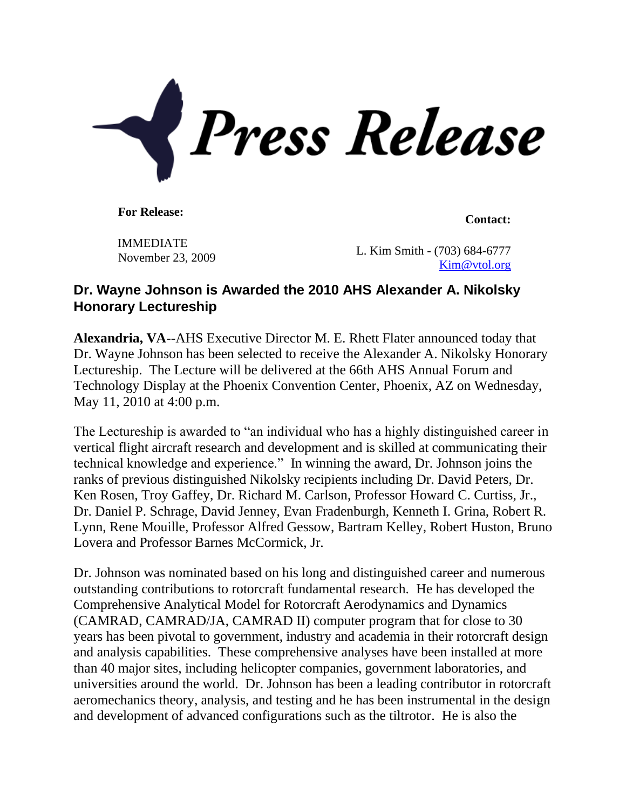

**For Release: Contact: Contact: Contact: Contact: Contact: Contact: Contact: Contact: Contact: Contact: Contact: Contact: Contact: Contact: Contact: Contact: Contact: Contact: Contact:** 

IMMEDIATE

NOVEMBER 112<br>November 23, 2009 L. Kim Smith - (703) 684-6777 [Kim@vtol.org](mailto:Kim@vtol.org)

## **Dr. Wayne Johnson is Awarded the 2010 AHS Alexander A. Nikolsky Honorary Lectureship**

**Alexandria, VA**--AHS Executive Director M. E. Rhett Flater announced today that Dr. Wayne Johnson has been selected to receive the Alexander A. Nikolsky Honorary Lectureship. The Lecture will be delivered at the 66th AHS Annual Forum and Technology Display at the Phoenix Convention Center, Phoenix, AZ on Wednesday, May 11, 2010 at 4:00 p.m.

The Lectureship is awarded to "an individual who has a highly distinguished career in vertical flight aircraft research and development and is skilled at communicating their technical knowledge and experience." In winning the award, Dr. Johnson joins the ranks of previous distinguished Nikolsky recipients including Dr. David Peters, Dr. Ken Rosen, Troy Gaffey, Dr. Richard M. Carlson, Professor Howard C. Curtiss, Jr., Dr. Daniel P. Schrage, David Jenney, Evan Fradenburgh, Kenneth I. Grina, Robert R. Lynn, Rene Mouille, Professor Alfred Gessow, Bartram Kelley, Robert Huston, Bruno Lovera and Professor Barnes McCormick, Jr.

Dr. Johnson was nominated based on his long and distinguished career and numerous outstanding contributions to rotorcraft fundamental research. He has developed the Comprehensive Analytical Model for Rotorcraft Aerodynamics and Dynamics (CAMRAD, CAMRAD/JA, CAMRAD II) computer program that for close to 30 years has been pivotal to government, industry and academia in their rotorcraft design and analysis capabilities. These comprehensive analyses have been installed at more than 40 major sites, including helicopter companies, government laboratories, and universities around the world. Dr. Johnson has been a leading contributor in rotorcraft aeromechanics theory, analysis, and testing and he has been instrumental in the design and development of advanced configurations such as the tiltrotor. He is also the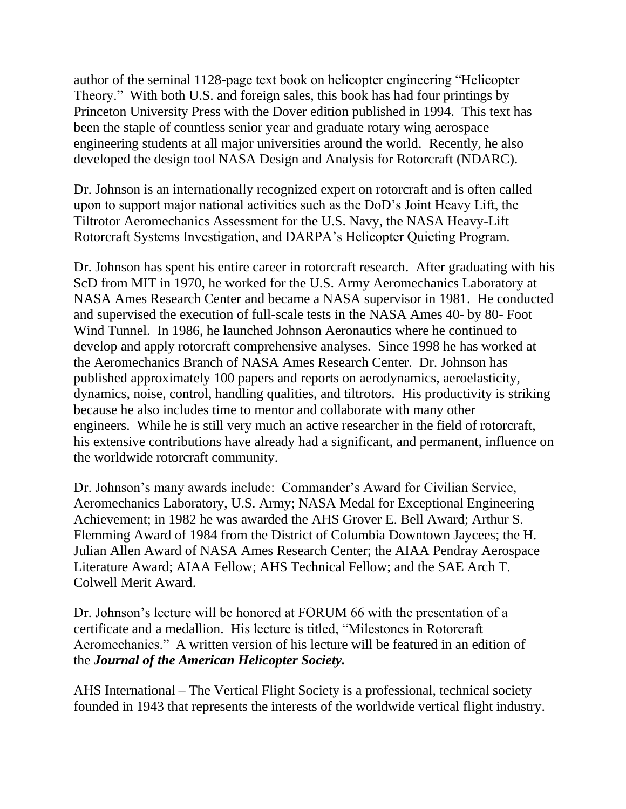author of the seminal 1128-page text book on helicopter engineering "Helicopter Theory." With both U.S. and foreign sales, this book has had four printings by Princeton University Press with the Dover edition published in 1994. This text has been the staple of countless senior year and graduate rotary wing aerospace engineering students at all major universities around the world. Recently, he also developed the design tool NASA Design and Analysis for Rotorcraft (NDARC).

Dr. Johnson is an internationally recognized expert on rotorcraft and is often called upon to support major national activities such as the DoD's Joint Heavy Lift, the Tiltrotor Aeromechanics Assessment for the U.S. Navy, the NASA Heavy-Lift Rotorcraft Systems Investigation, and DARPA's Helicopter Quieting Program.

Dr. Johnson has spent his entire career in rotorcraft research. After graduating with his ScD from MIT in 1970, he worked for the U.S. Army Aeromechanics Laboratory at NASA Ames Research Center and became a NASA supervisor in 1981. He conducted and supervised the execution of full-scale tests in the NASA Ames 40- by 80- Foot Wind Tunnel. In 1986, he launched Johnson Aeronautics where he continued to develop and apply rotorcraft comprehensive analyses. Since 1998 he has worked at the Aeromechanics Branch of NASA Ames Research Center. Dr. Johnson has published approximately 100 papers and reports on aerodynamics, aeroelasticity, dynamics, noise, control, handling qualities, and tiltrotors. His productivity is striking because he also includes time to mentor and collaborate with many other engineers. While he is still very much an active researcher in the field of rotorcraft, his extensive contributions have already had a significant, and permanent, influence on the worldwide rotorcraft community.

Dr. Johnson's many awards include: Commander's Award for Civilian Service, Aeromechanics Laboratory, U.S. Army; NASA Medal for Exceptional Engineering Achievement; in 1982 he was awarded the AHS Grover E. Bell Award; Arthur S. Flemming Award of 1984 from the District of Columbia Downtown Jaycees; the H. Julian Allen Award of NASA Ames Research Center; the AIAA Pendray Aerospace Literature Award; AIAA Fellow; AHS Technical Fellow; and the SAE Arch T. Colwell Merit Award.

Dr. Johnson's lecture will be honored at FORUM 66 with the presentation of a certificate and a medallion. His lecture is titled, "Milestones in Rotorcraft Aeromechanics." A written version of his lecture will be featured in an edition of the *Journal of the American Helicopter Society.*

AHS International – The Vertical Flight Society is a professional, technical society founded in 1943 that represents the interests of the worldwide vertical flight industry.